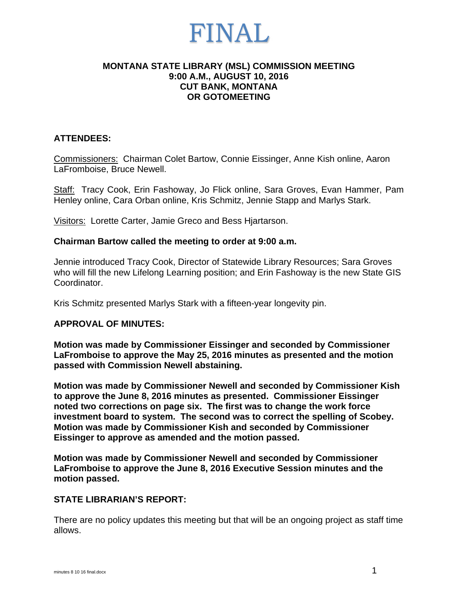### **MONTANA STATE LIBRARY (MSL) COMMISSION MEETING 9:00 A.M., AUGUST 10, 2016 CUT BANK, MONTANA OR GOTOMEETING**

### **ATTENDEES:**

Commissioners: Chairman Colet Bartow, Connie Eissinger, Anne Kish online, Aaron LaFromboise, Bruce Newell.

Staff: Tracy Cook, Erin Fashoway, Jo Flick online, Sara Groves, Evan Hammer, Pam Henley online, Cara Orban online, Kris Schmitz, Jennie Stapp and Marlys Stark.

Visitors: Lorette Carter, Jamie Greco and Bess Hjartarson.

### **Chairman Bartow called the meeting to order at 9:00 a.m.**

Jennie introduced Tracy Cook, Director of Statewide Library Resources; Sara Groves who will fill the new Lifelong Learning position; and Erin Fashoway is the new State GIS Coordinator.

Kris Schmitz presented Marlys Stark with a fifteen-year longevity pin.

### **APPROVAL OF MINUTES:**

**Motion was made by Commissioner Eissinger and seconded by Commissioner LaFromboise to approve the May 25, 2016 minutes as presented and the motion passed with Commission Newell abstaining.** 

**Motion was made by Commissioner Newell and seconded by Commissioner Kish to approve the June 8, 2016 minutes as presented. Commissioner Eissinger noted two corrections on page six. The first was to change the work force investment board to system. The second was to correct the spelling of Scobey. Motion was made by Commissioner Kish and seconded by Commissioner Eissinger to approve as amended and the motion passed.** 

**Motion was made by Commissioner Newell and seconded by Commissioner LaFromboise to approve the June 8, 2016 Executive Session minutes and the motion passed.** 

#### **STATE LIBRARIAN'S REPORT:**

There are no policy updates this meeting but that will be an ongoing project as staff time allows.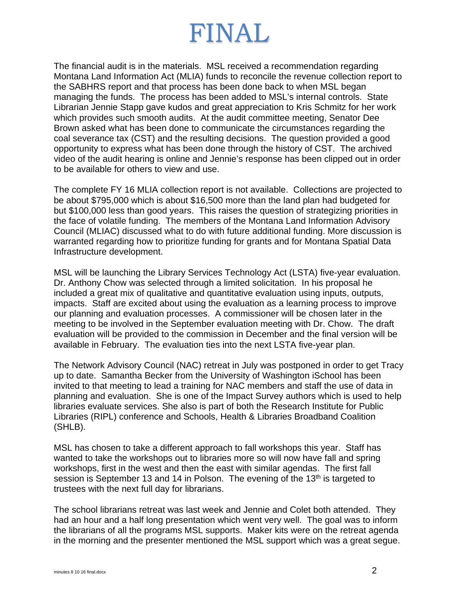The financial audit is in the materials. MSL received a recommendation regarding Montana Land Information Act (MLIA) funds to reconcile the revenue collection report to the SABHRS report and that process has been done back to when MSL began managing the funds. The process has been added to MSL's internal controls. State Librarian Jennie Stapp gave kudos and great appreciation to Kris Schmitz for her work which provides such smooth audits. At the audit committee meeting, Senator Dee Brown asked what has been done to communicate the circumstances regarding the coal severance tax (CST) and the resulting decisions. The question provided a good opportunity to express what has been done through the history of CST. The archived video of the audit hearing is online and Jennie's response has been clipped out in order to be available for others to view and use.

The complete FY 16 MLIA collection report is not available. Collections are projected to be about \$795,000 which is about \$16,500 more than the land plan had budgeted for but \$100,000 less than good years. This raises the question of strategizing priorities in the face of volatile funding. The members of the Montana Land Information Advisory Council (MLIAC) discussed what to do with future additional funding. More discussion is warranted regarding how to prioritize funding for grants and for Montana Spatial Data Infrastructure development.

MSL will be launching the Library Services Technology Act (LSTA) five-year evaluation. Dr. Anthony Chow was selected through a limited solicitation. In his proposal he included a great mix of qualitative and quantitative evaluation using inputs, outputs, impacts. Staff are excited about using the evaluation as a learning process to improve our planning and evaluation processes. A commissioner will be chosen later in the meeting to be involved in the September evaluation meeting with Dr. Chow. The draft evaluation will be provided to the commission in December and the final version will be available in February. The evaluation ties into the next LSTA five-year plan.

The Network Advisory Council (NAC) retreat in July was postponed in order to get Tracy up to date. Samantha Becker from the University of Washington iSchool has been invited to that meeting to lead a training for NAC members and staff the use of data in planning and evaluation. She is one of the Impact Survey authors which is used to help libraries evaluate services. She also is part of both the Research Institute for Public Libraries (RIPL) conference and Schools, Health & Libraries Broadband Coalition (SHLB).

MSL has chosen to take a different approach to fall workshops this year. Staff has wanted to take the workshops out to libraries more so will now have fall and spring workshops, first in the west and then the east with similar agendas. The first fall session is September 13 and 14 in Polson. The evening of the  $13<sup>th</sup>$  is targeted to trustees with the next full day for librarians.

The school librarians retreat was last week and Jennie and Colet both attended. They had an hour and a half long presentation which went very well. The goal was to inform the librarians of all the programs MSL supports. Maker kits were on the retreat agenda in the morning and the presenter mentioned the MSL support which was a great segue.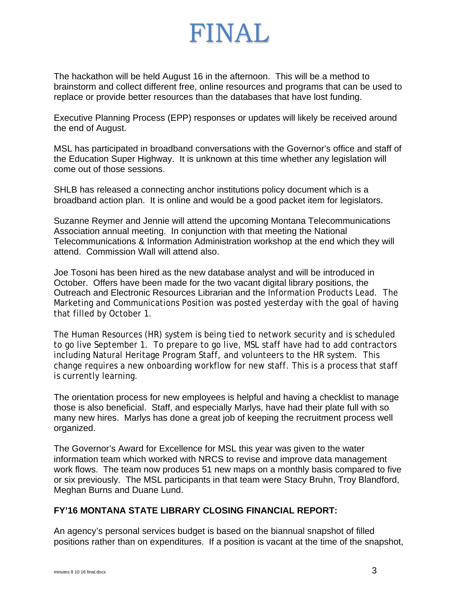The hackathon will be held August 16 in the afternoon. This will be a method to brainstorm and collect different free, online resources and programs that can be used to replace or provide better resources than the databases that have lost funding.

Executive Planning Process (EPP) responses or updates will likely be received around the end of August.

MSL has participated in broadband conversations with the Governor's office and staff of the Education Super Highway. It is unknown at this time whether any legislation will come out of those sessions.

SHLB has released a connecting anchor institutions policy document which is a broadband action plan. It is online and would be a good packet item for legislators.

Suzanne Reymer and Jennie will attend the upcoming Montana Telecommunications Association annual meeting. In conjunction with that meeting the National Telecommunications & Information Administration workshop at the end which they will attend. Commission Wall will attend also.

Joe Tosoni has been hired as the new database analyst and will be introduced in October. Offers have been made for the two vacant digital library positions, the Outreach and Electronic Resources Librarian and the Information Products Lead. The Marketing and Communications Position was posted yesterday with the goal of having that filled by October 1.

The Human Resources (HR) system is being tied to network security and is scheduled to go live September 1. To prepare to go live, MSL staff have had to add contractors including Natural Heritage Program Staff, and volunteers to the HR system. This change requires a new onboarding workflow for new staff. This is a process that staff is currently learning.

The orientation process for new employees is helpful and having a checklist to manage those is also beneficial. Staff, and especially Marlys, have had their plate full with so many new hires. Marlys has done a great job of keeping the recruitment process well organized.

The Governor's Award for Excellence for MSL this year was given to the water information team which worked with NRCS to revise and improve data management work flows. The team now produces 51 new maps on a monthly basis compared to five or six previously. The MSL participants in that team were Stacy Bruhn, Troy Blandford, Meghan Burns and Duane Lund.

### **FY'16 MONTANA STATE LIBRARY CLOSING FINANCIAL REPORT:**

An agency's personal services budget is based on the biannual snapshot of filled positions rather than on expenditures. If a position is vacant at the time of the snapshot,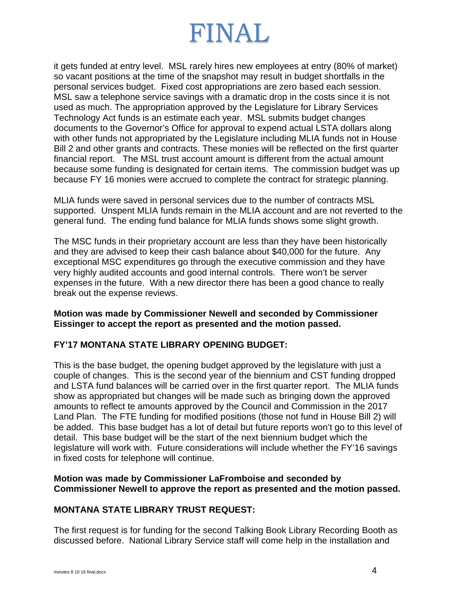it gets funded at entry level. MSL rarely hires new employees at entry (80% of market) so vacant positions at the time of the snapshot may result in budget shortfalls in the personal services budget. Fixed cost appropriations are zero based each session. MSL saw a telephone service savings with a dramatic drop in the costs since it is not used as much. The appropriation approved by the Legislature for Library Services Technology Act funds is an estimate each year. MSL submits budget changes documents to the Governor's Office for approval to expend actual LSTA dollars along with other funds not appropriated by the Legislature including MLIA funds not in House Bill 2 and other grants and contracts. These monies will be reflected on the first quarter financial report. The MSL trust account amount is different from the actual amount because some funding is designated for certain items. The commission budget was up because FY 16 monies were accrued to complete the contract for strategic planning.

MLIA funds were saved in personal services due to the number of contracts MSL supported. Unspent MLIA funds remain in the MLIA account and are not reverted to the general fund. The ending fund balance for MLIA funds shows some slight growth.

The MSC funds in their proprietary account are less than they have been historically and they are advised to keep their cash balance about \$40,000 for the future. Any exceptional MSC expenditures go through the executive commission and they have very highly audited accounts and good internal controls. There won't be server expenses in the future. With a new director there has been a good chance to really break out the expense reviews.

### **Motion was made by Commissioner Newell and seconded by Commissioner Eissinger to accept the report as presented and the motion passed.**

## **FY'17 MONTANA STATE LIBRARY OPENING BUDGET:**

This is the base budget, the opening budget approved by the legislature with just a couple of changes. This is the second year of the biennium and CST funding dropped and LSTA fund balances will be carried over in the first quarter report. The MLIA funds show as appropriated but changes will be made such as bringing down the approved amounts to reflect te amounts approved by the Council and Commission in the 2017 Land Plan. The FTE funding for modified positions (those not fund in House Bill 2) will be added. This base budget has a lot of detail but future reports won't go to this level of detail. This base budget will be the start of the next biennium budget which the legislature will work with. Future considerations will include whether the FY'16 savings in fixed costs for telephone will continue.

### **Motion was made by Commissioner LaFromboise and seconded by Commissioner Newell to approve the report as presented and the motion passed.**

## **MONTANA STATE LIBRARY TRUST REQUEST:**

The first request is for funding for the second Talking Book Library Recording Booth as discussed before. National Library Service staff will come help in the installation and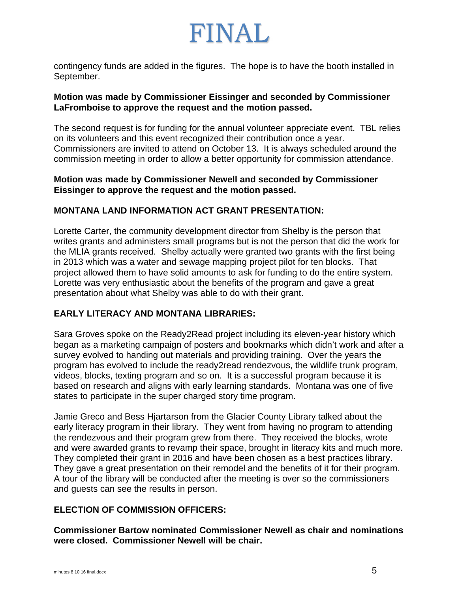contingency funds are added in the figures. The hope is to have the booth installed in September.

### **Motion was made by Commissioner Eissinger and seconded by Commissioner LaFromboise to approve the request and the motion passed.**

The second request is for funding for the annual volunteer appreciate event. TBL relies on its volunteers and this event recognized their contribution once a year. Commissioners are invited to attend on October 13. It is always scheduled around the commission meeting in order to allow a better opportunity for commission attendance.

### **Motion was made by Commissioner Newell and seconded by Commissioner Eissinger to approve the request and the motion passed.**

### **MONTANA LAND INFORMATION ACT GRANT PRESENTATION:**

Lorette Carter, the community development director from Shelby is the person that writes grants and administers small programs but is not the person that did the work for the MLIA grants received. Shelby actually were granted two grants with the first being in 2013 which was a water and sewage mapping project pilot for ten blocks. That project allowed them to have solid amounts to ask for funding to do the entire system. Lorette was very enthusiastic about the benefits of the program and gave a great presentation about what Shelby was able to do with their grant.

## **EARLY LITERACY AND MONTANA LIBRARIES:**

Sara Groves spoke on the Ready2Read project including its eleven-year history which began as a marketing campaign of posters and bookmarks which didn't work and after a survey evolved to handing out materials and providing training. Over the years the program has evolved to include the ready2read rendezvous, the wildlife trunk program, videos, blocks, texting program and so on. It is a successful program because it is based on research and aligns with early learning standards. Montana was one of five states to participate in the super charged story time program.

Jamie Greco and Bess Hjartarson from the Glacier County Library talked about the early literacy program in their library. They went from having no program to attending the rendezvous and their program grew from there. They received the blocks, wrote and were awarded grants to revamp their space, brought in literacy kits and much more. They completed their grant in 2016 and have been chosen as a best practices library. They gave a great presentation on their remodel and the benefits of it for their program. A tour of the library will be conducted after the meeting is over so the commissioners and guests can see the results in person.

## **ELECTION OF COMMISSION OFFICERS:**

**Commissioner Bartow nominated Commissioner Newell as chair and nominations were closed. Commissioner Newell will be chair.**